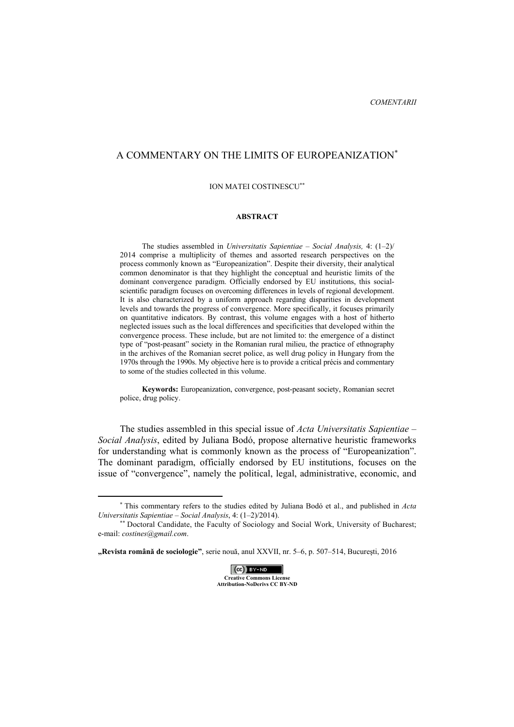## A COMMENTARY ON THE LIMITS OF EUROPEANIZATION<sup>∗</sup>

## ION MATEI COSTINESCU∗∗

## **ABSTRACT**

The studies assembled in *Universitatis Sapientiae – Social Analysis,* 4: (1–2)/ 2014 comprise a multiplicity of themes and assorted research perspectives on the process commonly known as "Europeanization". Despite their diversity, their analytical common denominator is that they highlight the conceptual and heuristic limits of the dominant convergence paradigm. Officially endorsed by EU institutions, this socialscientific paradigm focuses on overcoming differences in levels of regional development. It is also characterized by a uniform approach regarding disparities in development levels and towards the progress of convergence. More specifically, it focuses primarily on quantitative indicators. By contrast, this volume engages with a host of hitherto neglected issues such as the local differences and specificities that developed within the convergence process. These include, but are not limited to: the emergence of a distinct type of "post-peasant" society in the Romanian rural milieu, the practice of ethnography in the archives of the Romanian secret police, as well drug policy in Hungary from the 1970s through the 1990s. My objective here is to provide a critical précis and commentary to some of the studies collected in this volume.

**Keywords:** Europeanization, convergence, post-peasant society, Romanian secret police, drug policy.

The studies assembled in this special issue of *Acta Universitatis Sapientiae – Social Analysis*, edited by Juliana Bodó, propose alternative heuristic frameworks for understanding what is commonly known as the process of "Europeanization". The dominant paradigm, officially endorsed by EU institutions, focuses on the issue of "convergence", namely the political, legal, administrative, economic, and

 $\overline{a}$ 



<sup>∗</sup> This commentary refers to the studies edited by Juliana Bodó et al., and published in *Acta Universitatis Sapientiae – Social Analysis*, 4: (1–2)/2014).

<sup>∗∗</sup> Doctoral Candidate, the Faculty of Sociology and Social Work, University of Bucharest; e-mail: *costines@gmail.com*.

**<sup>&</sup>quot;Revista română de sociologie"**, serie nouă, anul XXVII, nr. 5–6, p. 507–514, Bucureşti, 2016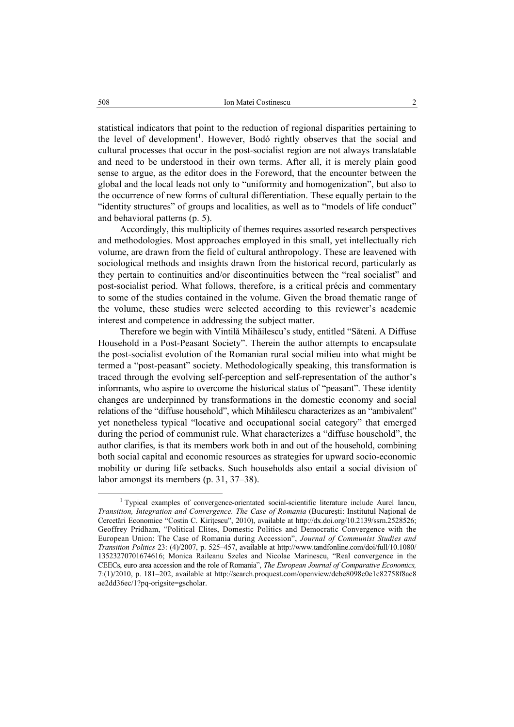statistical indicators that point to the reduction of regional disparities pertaining to the level of development<sup>1</sup>. However, Bodó rightly observes that the social and cultural processes that occur in the post-socialist region are not always translatable and need to be understood in their own terms. After all, it is merely plain good sense to argue, as the editor does in the Foreword, that the encounter between the global and the local leads not only to "uniformity and homogenization", but also to the occurrence of new forms of cultural differentiation. These equally pertain to the "identity structures" of groups and localities, as well as to "models of life conduct" and behavioral patterns (p. 5).

Accordingly, this multiplicity of themes requires assorted research perspectives and methodologies. Most approaches employed in this small, yet intellectually rich volume, are drawn from the field of cultural anthropology. These are leavened with sociological methods and insights drawn from the historical record, particularly as they pertain to continuities and/or discontinuities between the "real socialist" and post-socialist period. What follows, therefore, is a critical précis and commentary to some of the studies contained in the volume. Given the broad thematic range of the volume, these studies were selected according to this reviewer's academic interest and competence in addressing the subject matter.

Therefore we begin with Vintilă Mihăilescu's study, entitled "Săteni. A Diffuse Household in a Post-Peasant Society". Therein the author attempts to encapsulate the post-socialist evolution of the Romanian rural social milieu into what might be termed a "post-peasant" society. Methodologically speaking, this transformation is traced through the evolving self-perception and self-representation of the author's informants, who aspire to overcome the historical status of "peasant". These identity changes are underpinned by transformations in the domestic economy and social relations of the "diffuse household", which Mihăilescu characterizes as an "ambivalent" yet nonetheless typical "locative and occupational social category" that emerged during the period of communist rule. What characterizes a "diffuse household", the author clarifies, is that its members work both in and out of the household, combining both social capital and economic resources as strategies for upward socio-economic mobility or during life setbacks. Such households also entail a social division of labor amongst its members (p. 31, 37–38).

 $\frac{1}{1}$ <sup>1</sup> Typical examples of convergence-orientated social-scientific literature include Aurel Iancu, *Transition, Integration and Convergence. The Case of Romania (Bucuresti: Institutul National de* Cercetări Economice "Costin C. Kirițescu", 2010), available at http://dx.doi.org/10.2139/ssrn.2528526; Geoffrey Pridham, "Political Elites, Domestic Politics and Democratic Convergence with the European Union: The Case of Romania during Accession", *Journal of Communist Studies and Transition Politics* 23: (4)/2007, p. 525–457, available at http://www.tandfonline.com/doi/full/10.1080/ 13523270701674616; Monica Raileanu Szeles and Nicolae Marinescu, "Real convergence in the CEECs, euro area accession and the role of Romania", *The European Journal of Comparative Economics,*  7:(1)/2010, p. 181–202, available at http://search.proquest.com/openview/debe8098c0e1c82758f8ac8 ae2dd36ec/1?pq-origsite=gscholar.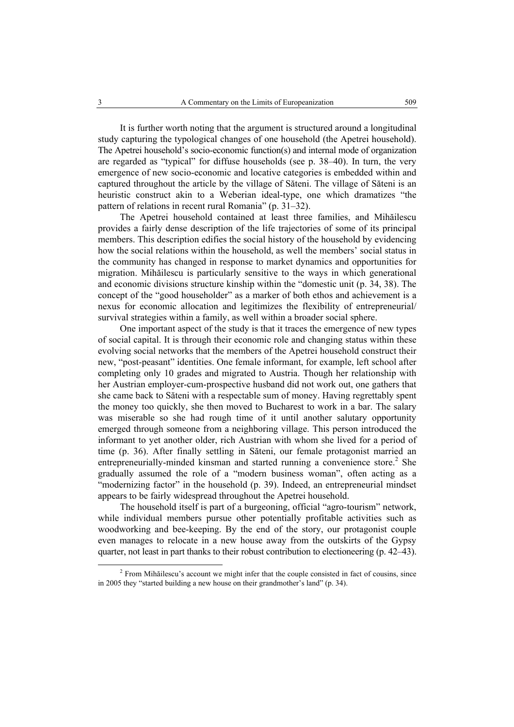It is further worth noting that the argument is structured around a longitudinal study capturing the typological changes of one household (the Apetrei household). The Apetrei household's socio-economic function(s) and internal mode of organization are regarded as "typical" for diffuse households (see p. 38–40). In turn, the very emergence of new socio-economic and locative categories is embedded within and captured throughout the article by the village of Săteni. The village of Săteni is an heuristic construct akin to a Weberian ideal-type, one which dramatizes "the pattern of relations in recent rural Romania" (p. 31–32).

The Apetrei household contained at least three families, and Mihăilescu provides a fairly dense description of the life trajectories of some of its principal members. This description edifies the social history of the household by evidencing how the social relations within the household, as well the members' social status in the community has changed in response to market dynamics and opportunities for migration. Mihăilescu is particularly sensitive to the ways in which generational and economic divisions structure kinship within the "domestic unit (p. 34, 38). The concept of the "good householder" as a marker of both ethos and achievement is a nexus for economic allocation and legitimizes the flexibility of entrepreneurial/ survival strategies within a family, as well within a broader social sphere.

One important aspect of the study is that it traces the emergence of new types of social capital. It is through their economic role and changing status within these evolving social networks that the members of the Apetrei household construct their new, "post-peasant" identities. One female informant, for example, left school after completing only 10 grades and migrated to Austria. Though her relationship with her Austrian employer-cum-prospective husband did not work out, one gathers that she came back to Săteni with a respectable sum of money. Having regrettably spent the money too quickly, she then moved to Bucharest to work in a bar. The salary was miserable so she had rough time of it until another salutary opportunity emerged through someone from a neighboring village. This person introduced the informant to yet another older, rich Austrian with whom she lived for a period of time (p. 36). After finally settling in Săteni, our female protagonist married an entrepreneurially-minded kinsman and started running a convenience store.<sup>2</sup> She gradually assumed the role of a "modern business woman", often acting as a "modernizing factor" in the household (p. 39). Indeed, an entrepreneurial mindset appears to be fairly widespread throughout the Apetrei household.

The household itself is part of a burgeoning, official "agro-tourism" network, while individual members pursue other potentially profitable activities such as woodworking and bee-keeping. By the end of the story, our protagonist couple even manages to relocate in a new house away from the outskirts of the Gypsy quarter, not least in part thanks to their robust contribution to electioneering (p. 42–43).

 <sup>2</sup> <sup>2</sup> From Mihăilescu's account we might infer that the couple consisted in fact of cousins, since in 2005 they "started building a new house on their grandmother's land" (p. 34).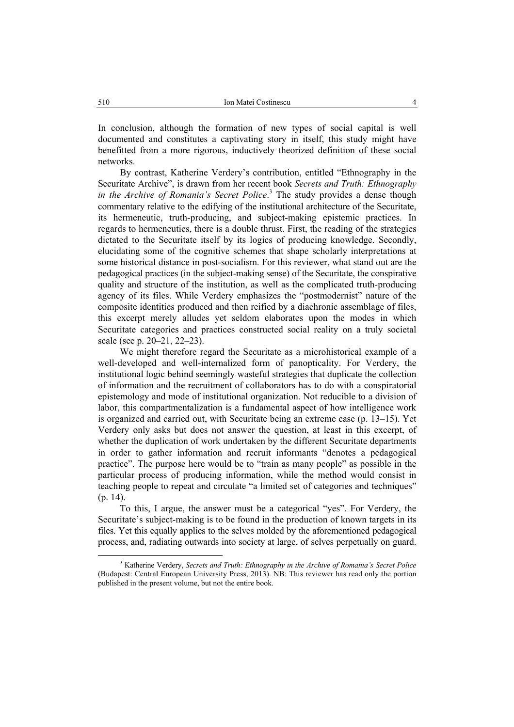In conclusion, although the formation of new types of social capital is well documented and constitutes a captivating story in itself, this study might have benefitted from a more rigorous, inductively theorized definition of these social networks.

By contrast, Katherine Verdery's contribution, entitled "Ethnography in the Securitate Archive", is drawn from her recent book *Secrets and Truth: Ethnography in the Archive of Romania's Secret Police*. 3 The study provides a dense though commentary relative to the edifying of the institutional architecture of the Securitate, its hermeneutic, truth-producing, and subject-making epistemic practices. In regards to hermeneutics, there is a double thrust. First, the reading of the strategies dictated to the Securitate itself by its logics of producing knowledge. Secondly, elucidating some of the cognitive schemes that shape scholarly interpretations at some historical distance in post-socialism. For this reviewer, what stand out are the pedagogical practices (in the subject-making sense) of the Securitate, the conspirative quality and structure of the institution, as well as the complicated truth-producing agency of its files. While Verdery emphasizes the "postmodernist" nature of the composite identities produced and then reified by a diachronic assemblage of files, this excerpt merely alludes yet seldom elaborates upon the modes in which Securitate categories and practices constructed social reality on a truly societal scale (see p. 20–21, 22–23).

We might therefore regard the Securitate as a microhistorical example of a well-developed and well-internalized form of panopticality. For Verdery, the institutional logic behind seemingly wasteful strategies that duplicate the collection of information and the recruitment of collaborators has to do with a conspiratorial epistemology and mode of institutional organization. Not reducible to a division of labor, this compartmentalization is a fundamental aspect of how intelligence work is organized and carried out, with Securitate being an extreme case (p. 13–15). Yet Verdery only asks but does not answer the question, at least in this excerpt, of whether the duplication of work undertaken by the different Securitate departments in order to gather information and recruit informants "denotes a pedagogical practice". The purpose here would be to "train as many people" as possible in the particular process of producing information, while the method would consist in teaching people to repeat and circulate "a limited set of categories and techniques" (p. 14).

To this, I argue, the answer must be a categorical "yes". For Verdery, the Securitate's subject-making is to be found in the production of known targets in its files. Yet this equally applies to the selves molded by the aforementioned pedagogical process, and, radiating outwards into society at large, of selves perpetually on guard.

 <sup>3</sup> <sup>3</sup> Katherine Verdery, *Secrets and Truth: Ethnography in the Archive of Romania's Secret Police* (Budapest: Central European University Press, 2013). NB: This reviewer has read only the portion published in the present volume, but not the entire book.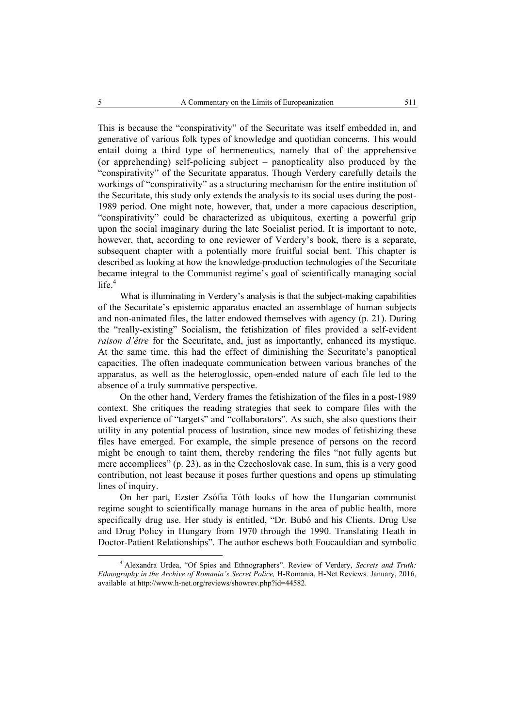This is because the "conspirativity" of the Securitate was itself embedded in, and generative of various folk types of knowledge and quotidian concerns. This would entail doing a third type of hermeneutics, namely that of the apprehensive (or apprehending) self-policing subject – panopticality also produced by the "conspirativity" of the Securitate apparatus. Though Verdery carefully details the workings of "conspirativity" as a structuring mechanism for the entire institution of the Securitate, this study only extends the analysis to its social uses during the post-1989 period. One might note, however, that, under a more capacious description, "conspirativity" could be characterized as ubiquitous, exerting a powerful grip upon the social imaginary during the late Socialist period. It is important to note, however, that, according to one reviewer of Verdery's book, there is a separate, subsequent chapter with a potentially more fruitful social bent. This chapter is described as looking at how the knowledge-production technologies of the Securitate became integral to the Communist regime's goal of scientifically managing social  $life.<sup>4</sup>$ 

What is illuminating in Verdery's analysis is that the subject-making capabilities of the Securitate's epistemic apparatus enacted an assemblage of human subjects and non-animated files, the latter endowed themselves with agency (p. 21). During the "really-existing" Socialism, the fetishization of files provided a self-evident *raison d'être* for the Securitate, and, just as importantly, enhanced its mystique. At the same time, this had the effect of diminishing the Securitate's panoptical capacities. The often inadequate communication between various branches of the apparatus, as well as the heteroglossic, open-ended nature of each file led to the absence of a truly summative perspective.

On the other hand, Verdery frames the fetishization of the files in a post-1989 context. She critiques the reading strategies that seek to compare files with the lived experience of "targets" and "collaborators". As such, she also questions their utility in any potential process of lustration, since new modes of fetishizing these files have emerged. For example, the simple presence of persons on the record might be enough to taint them, thereby rendering the files "not fully agents but mere accomplices" (p. 23), as in the Czechoslovak case. In sum, this is a very good contribution, not least because it poses further questions and opens up stimulating lines of inquiry.

On her part, Ezster Zsófia Tóth looks of how the Hungarian communist regime sought to scientifically manage humans in the area of public health, more specifically drug use. Her study is entitled, "Dr. Bubó and his Clients. Drug Use and Drug Policy in Hungary from 1970 through the 1990. Translating Heath in Doctor-Patient Relationships". The author eschews both Foucauldian and symbolic

 $\overline{4}$  Alexandra Urdea, "Of Spies and Ethnographers". Review of Verdery, *Secrets and Truth: Ethnography in the Archive of Romania's Secret Police,* H-Romania, H-Net Reviews. January, 2016, available at http://www.h-net.org/reviews/showrev.php?id=44582.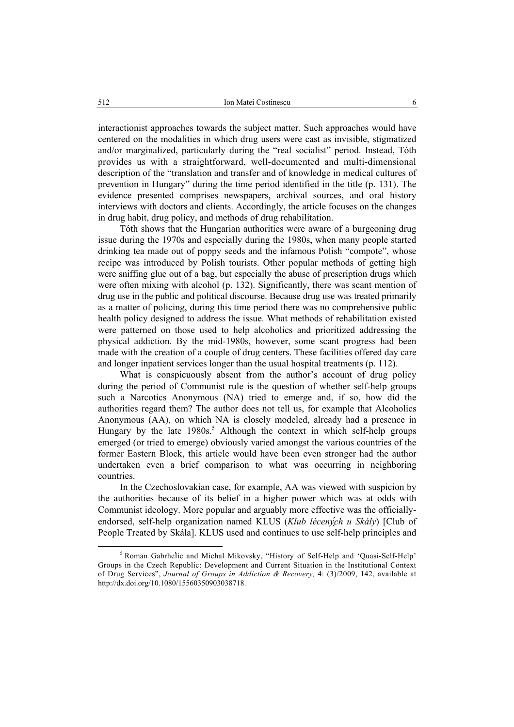interactionist approaches towards the subject matter. Such approaches would have centered on the modalities in which drug users were cast as invisible, stigmatized and/or marginalized, particularly during the "real socialist" period. Instead, Tóth provides us with a straightforward, well-documented and multi-dimensional description of the "translation and transfer and of knowledge in medical cultures of prevention in Hungary" during the time period identified in the title (p. 131). The evidence presented comprises newspapers, archival sources, and oral history interviews with doctors and clients. Accordingly, the article focuses on the changes in drug habit, drug policy, and methods of drug rehabilitation.

Tóth shows that the Hungarian authorities were aware of a burgeoning drug issue during the 1970s and especially during the 1980s, when many people started drinking tea made out of poppy seeds and the infamous Polish "compote", whose recipe was introduced by Polish tourists. Other popular methods of getting high were sniffing glue out of a bag, but especially the abuse of prescription drugs which were often mixing with alcohol (p. 132). Significantly, there was scant mention of drug use in the public and political discourse. Because drug use was treated primarily as a matter of policing, during this time period there was no comprehensive public health policy designed to address the issue. What methods of rehabilitation existed were patterned on those used to help alcoholics and prioritized addressing the physical addiction. By the mid-1980s, however, some scant progress had been made with the creation of a couple of drug centers. These facilities offered day care and longer inpatient services longer than the usual hospital treatments (p. 112).

What is conspicuously absent from the author's account of drug policy during the period of Communist rule is the question of whether self-help groups such a Narcotics Anonymous (NA) tried to emerge and, if so, how did the authorities regard them? The author does not tell us, for example that Alcoholics Anonymous (AA), on which NA is closely modeled, already had a presence in Hungary by the late  $1980s$ <sup>5</sup> Although the context in which self-help groups emerged (or tried to emerge) obviously varied amongst the various countries of the former Eastern Block, this article would have been even stronger had the author undertaken even a brief comparison to what was occurring in neighboring countries.

In the Czechoslovakian case, for example, AA was viewed with suspicion by the authorities because of its belief in a higher power which was at odds with Communist ideology. More popular and arguably more effective was the officiallyendorsed, self-help organization named KLUS (*Klub léceny*ch u Skály) [Club of People Treated by Skála]. KLUS used and continues to use self-help principles and

 $rac{1}{5}$ <sup>5</sup> Roman Gabrhelic and Michal Mikovsky, "History of Self-Help and 'Quasi-Self-Help' Groups in the Czech Republic: Development and Current Situation in the Institutional Context of Drug Services", *Journal of Groups in Addiction & Recovery,* 4: (3)/2009, 142, available at http://dx.doi.org/10.1080/15560350903038718.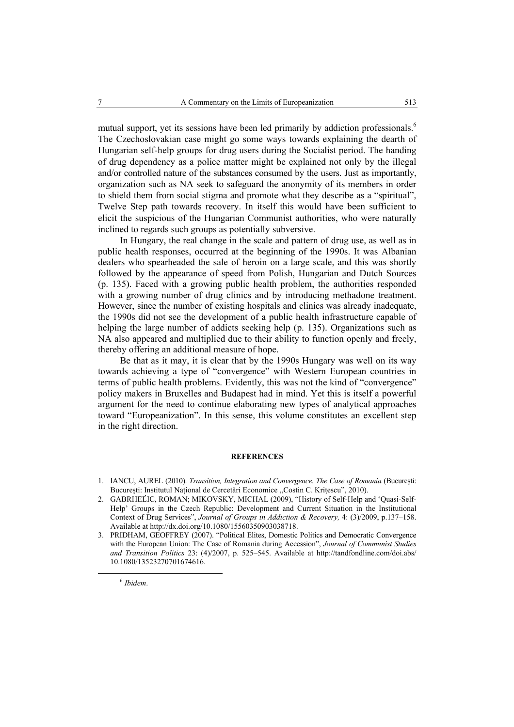mutual support, yet its sessions have been led primarily by addiction professionals.<sup>6</sup> The Czechoslovakian case might go some ways towards explaining the dearth of Hungarian self-help groups for drug users during the Socialist period. The handing of drug dependency as a police matter might be explained not only by the illegal and/or controlled nature of the substances consumed by the users. Just as importantly, organization such as NA seek to safeguard the anonymity of its members in order to shield them from social stigma and promote what they describe as a "spiritual", Twelve Step path towards recovery. In itself this would have been sufficient to elicit the suspicious of the Hungarian Communist authorities, who were naturally inclined to regards such groups as potentially subversive.

In Hungary, the real change in the scale and pattern of drug use, as well as in public health responses, occurred at the beginning of the 1990s. It was Albanian dealers who spearheaded the sale of heroin on a large scale, and this was shortly followed by the appearance of speed from Polish, Hungarian and Dutch Sources (p. 135). Faced with a growing public health problem, the authorities responded with a growing number of drug clinics and by introducing methadone treatment. However, since the number of existing hospitals and clinics was already inadequate, the 1990s did not see the development of a public health infrastructure capable of helping the large number of addicts seeking help (p. 135). Organizations such as NA also appeared and multiplied due to their ability to function openly and freely, thereby offering an additional measure of hope.

Be that as it may, it is clear that by the 1990s Hungary was well on its way towards achieving a type of "convergence" with Western European countries in terms of public health problems. Evidently, this was not the kind of "convergence" policy makers in Bruxelles and Budapest had in mind. Yet this is itself a powerful argument for the need to continue elaborating new types of analytical approaches toward "Europeanization". In this sense, this volume constitutes an excellent step in the right direction.

## **REFERENCES**

- 1. IANCU, AUREL (2010). *Transition, Integration and Convergence. The Case of Romania* (București: Bucureşti: Institutul Naţional de Cercetări Economice ,,Costin C. Kriţescu", 2010).
- 2. GABRHEĹIC, ROMAN; MIKOVSKY, MICHAL (2009), "History of Self-Help and 'Quasi-Self-Help' Groups in the Czech Republic: Development and Current Situation in the Institutional Context of Drug Services", *Journal of Groups in Addiction & Recovery,* 4: (3)/2009, p.137–158. Available at http://dx.doi.org/10.1080/15560350903038718.
- 3. PRIDHAM, GEOFFREY (2007). "Political Elites, Domestic Politics and Democratic Convergence with the European Union: The Case of Romania during Accession", *Journal of Communist Studies and Transition Politics* 23: (4)/2007, p. 525–545. Available at http://tandfondline.com/doi.abs/ 10.1080/13523270701674616.

6 *Ibidem*.